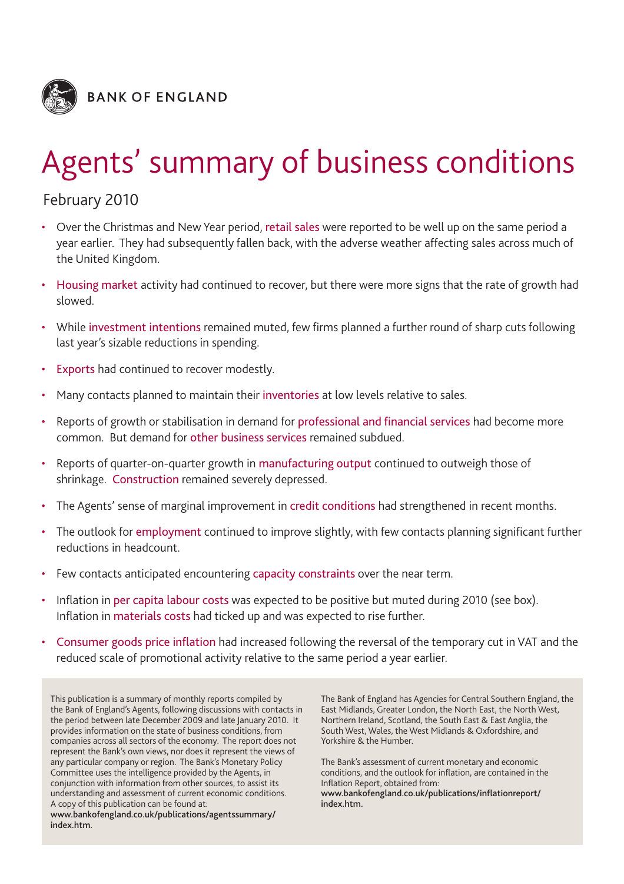

# Agents' summary of business conditions

# February 2010

- Over the Christmas and New Year period, retail sales were reported to be well up on the same period a year earlier. They had subsequently fallen back, with the adverse weather affecting sales across much of the United Kingdom.
- Housing market activity had continued to recover, but there were more signs that the rate of growth had slowed.
- While investment intentions remained muted, few firms planned a further round of sharp cuts following last year's sizable reductions in spending.
- Exports had continued to recover modestly.
- Many contacts planned to maintain their inventories at low levels relative to sales.
- Reports of growth or stabilisation in demand for professional and financial services had become more common. But demand for other business services remained subdued.
- Reports of quarter-on-quarter growth in manufacturing output continued to outweigh those of shrinkage. Construction remained severely depressed.
- The Agents' sense of marginal improvement in credit conditions had strengthened in recent months.
- The outlook for employment continued to improve slightly, with few contacts planning significant further reductions in headcount.
- Few contacts anticipated encountering capacity constraints over the near term.
- Inflation in per capita labour costs was expected to be positive but muted during 2010 (see box). Inflation in materials costs had ticked up and was expected to rise further.
- Consumer goods price inflation had increased following the reversal of the temporary cut in VAT and the reduced scale of promotional activity relative to the same period a year earlier.

This publication is a summary of monthly reports compiled by the Bank of England's Agents, following discussions with contacts in the period between late December 2009 and late January 2010. It provides information on the state of business conditions, from companies across all sectors of the economy. The report does not represent the Bank's own views, nor does it represent the views of any particular company or region. The Bank's Monetary Policy Committee uses the intelligence provided by the Agents, in conjunction with information from other sources, to assist its understanding and assessment of current economic conditions. A copy of this publication can be found at: **www.bankofengland.co.uk/publications/agentssummary/ index.htm.**

The Bank of England has Agencies for Central Southern England, the East Midlands, Greater London, the North East, the North West, Northern Ireland, Scotland, the South East & East Anglia, the South West, Wales, the West Midlands & Oxfordshire, and Yorkshire & the Humber.

The Bank's assessment of current monetary and economic conditions, and the outlook for inflation, are contained in the Inflation Report, obtained from: **www.bankofengland.co.uk/publications/inflationreport/ index.htm.**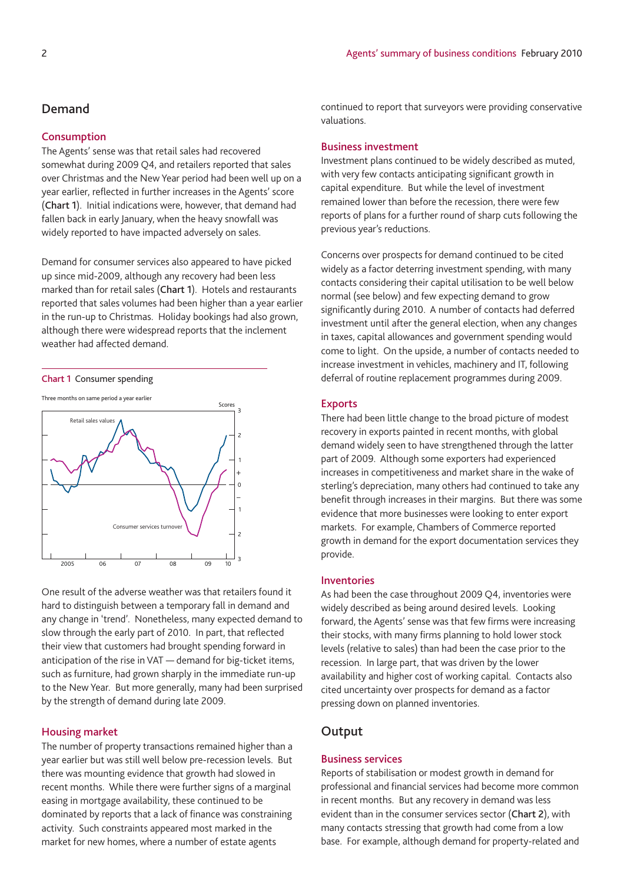# **Demand**

# **Consumption**

The Agents' sense was that retail sales had recovered somewhat during 2009 Q4, and retailers reported that sales over Christmas and the New Year period had been well up on a year earlier, reflected in further increases in the Agents' score (**Chart 1**). Initial indications were, however, that demand had fallen back in early January, when the heavy snowfall was widely reported to have impacted adversely on sales.

Demand for consumer services also appeared to have picked up since mid-2009, although any recovery had been less marked than for retail sales (**Chart 1**). Hotels and restaurants reported that sales volumes had been higher than a year earlier in the run-up to Christmas. Holiday bookings had also grown, although there were widespread reports that the inclement weather had affected demand.

#### **Chart 1** Consumer spending



One result of the adverse weather was that retailers found it hard to distinguish between a temporary fall in demand and any change in 'trend'. Nonetheless, many expected demand to slow through the early part of 2010. In part, that reflected their view that customers had brought spending forward in anticipation of the rise in VAT — demand for big-ticket items, such as furniture, had grown sharply in the immediate run-up to the New Year. But more generally, many had been surprised by the strength of demand during late 2009.

# **Housing market**

The number of property transactions remained higher than a year earlier but was still well below pre-recession levels. But there was mounting evidence that growth had slowed in recent months. While there were further signs of a marginal easing in mortgage availability, these continued to be dominated by reports that a lack of finance was constraining activity. Such constraints appeared most marked in the market for new homes, where a number of estate agents

continued to report that surveyors were providing conservative valuations.

## **Business investment**

Investment plans continued to be widely described as muted, with very few contacts anticipating significant growth in capital expenditure. But while the level of investment remained lower than before the recession, there were few reports of plans for a further round of sharp cuts following the previous year's reductions.

Concerns over prospects for demand continued to be cited widely as a factor deterring investment spending, with many contacts considering their capital utilisation to be well below normal (see below) and few expecting demand to grow significantly during 2010. A number of contacts had deferred investment until after the general election, when any changes in taxes, capital allowances and government spending would come to light. On the upside, a number of contacts needed to increase investment in vehicles, machinery and IT, following deferral of routine replacement programmes during 2009.

# **Exports**

There had been little change to the broad picture of modest recovery in exports painted in recent months, with global demand widely seen to have strengthened through the latter part of 2009. Although some exporters had experienced increases in competitiveness and market share in the wake of sterling's depreciation, many others had continued to take any benefit through increases in their margins. But there was some evidence that more businesses were looking to enter export markets. For example, Chambers of Commerce reported growth in demand for the export documentation services they provide.

#### **Inventories**

As had been the case throughout 2009 Q4, inventories were widely described as being around desired levels. Looking forward, the Agents' sense was that few firms were increasing their stocks, with many firms planning to hold lower stock levels (relative to sales) than had been the case prior to the recession. In large part, that was driven by the lower availability and higher cost of working capital. Contacts also cited uncertainty over prospects for demand as a factor pressing down on planned inventories.

# **Output**

# **Business services**

Reports of stabilisation or modest growth in demand for professional and financial services had become more common in recent months. But any recovery in demand was less evident than in the consumer services sector (**Chart 2**), with many contacts stressing that growth had come from a low base. For example, although demand for property-related and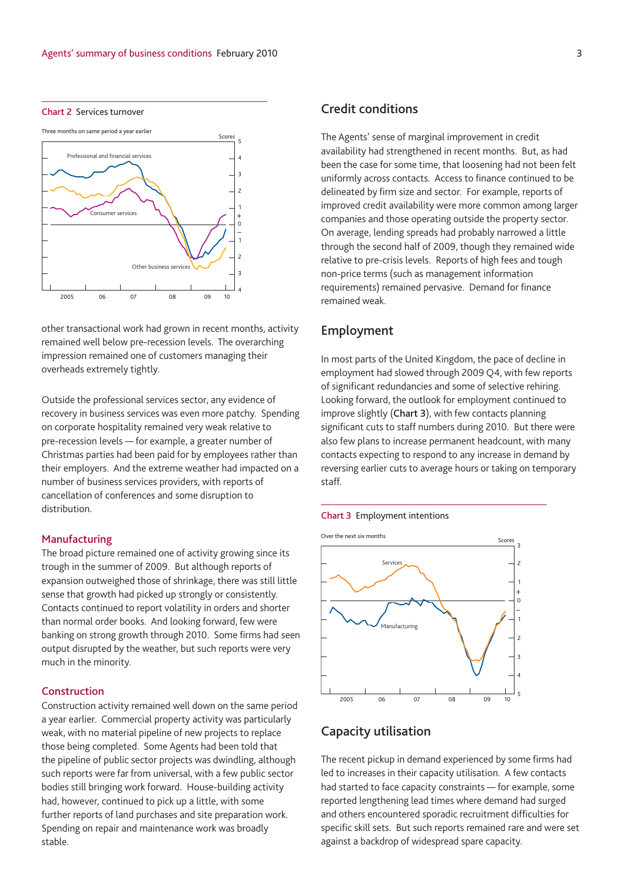



other transactional work had grown in recent months, activity remained well below pre-recession levels. The overarching impression remained one of customers managing their overheads extremely tightly.

Outside the professional services sector, any evidence of recovery in business services was even more patchy. Spending on corporate hospitality remained very weak relative to pre-recession levels — for example, a greater number of Christmas parties had been paid for by employees rather than their employers. And the extreme weather had impacted on a number of business services providers, with reports of cancellation of conferences and some disruption to distribution.

#### **Manufacturing**

The broad picture remained one of activity growing since its trough in the summer of 2009. But although reports of expansion outweighed those of shrinkage, there was still little sense that growth had picked up strongly or consistently. Contacts continued to report volatility in orders and shorter than normal order books. And looking forward, few were banking on strong growth through 2010. Some firms had seen output disrupted by the weather, but such reports were very much in the minority.

# **Construction**

Construction activity remained well down on the same period a year earlier. Commercial property activity was particularly weak, with no material pipeline of new projects to replace those being completed. Some Agents had been told that the pipeline of public sector projects was dwindling, although such reports were far from universal, with a few public sector bodies still bringing work forward. House-building activity had, however, continued to pick up a little, with some further reports of land purchases and site preparation work. Spending on repair and maintenance work was broadly stable.

# **Credit conditions**

The Agents' sense of marginal improvement in credit availability had strengthened in recent months. But, as had been the case for some time, that loosening had not been felt uniformly across contacts. Access to finance continued to be delineated by firm size and sector. For example, reports of improved credit availability were more common among larger companies and those operating outside the property sector. On average, lending spreads had probably narrowed a little through the second half of 2009, though they remained wide relative to pre-crisis levels. Reports of high fees and tough non-price terms (such as management information requirements) remained pervasive. Demand for finance remained weak.

# **Employment**

In most parts of the United Kingdom, the pace of decline in employment had slowed through 2009 Q4, with few reports of significant redundancies and some of selective rehiring. Looking forward, the outlook for employment continued to improve slightly (**Chart 3**), with few contacts planning significant cuts to staff numbers during 2010. But there were also few plans to increase permanent headcount, with many contacts expecting to respond to any increase in demand by reversing earlier cuts to average hours or taking on temporary staff.

#### **Chart 3** Employment intentions



# **Capacity utilisation**

The recent pickup in demand experienced by some firms had led to increases in their capacity utilisation. A few contacts had started to face capacity constraints — for example, some reported lengthening lead times where demand had surged and others encountered sporadic recruitment difficulties for specific skill sets. But such reports remained rare and were set against a backdrop of widespread spare capacity.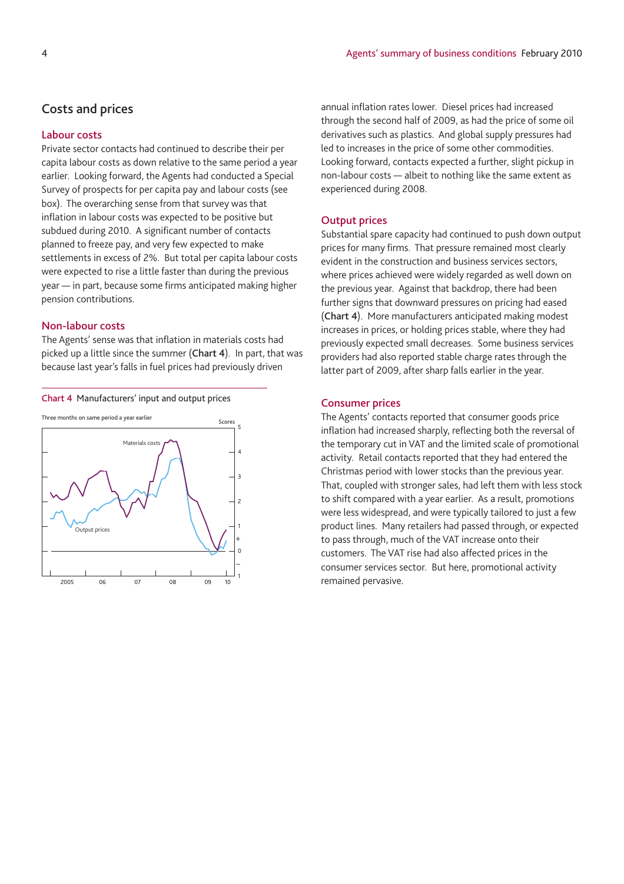annual inflation rates lower. Diesel prices had increased through the second half of 2009, as had the price of some oil derivatives such as plastics. And global supply pressures had led to increases in the price of some other commodities. Looking forward, contacts expected a further, slight pickup in non-labour costs — albeit to nothing like the same extent as

# **Costs and prices**

# **Labour costs**

Private sector contacts had continued to describe their per capita labour costs as down relative to the same period a year earlier. Looking forward, the Agents had conducted a Special Survey of prospects for per capita pay and labour costs (see box). The overarching sense from that survey was that inflation in labour costs was expected to be positive but subdued during 2010. A significant number of contacts planned to freeze pay, and very few expected to make settlements in excess of 2%. But total per capita labour costs were expected to rise a little faster than during the previous year — in part, because some firms anticipated making higher pension contributions.

# **Non-labour costs**

The Agents' sense was that inflation in materials costs had picked up a little since the summer (**Chart 4**). In part, that was because last year's falls in fuel prices had previously driven



# **Output prices**

experienced during 2008.

Substantial spare capacity had continued to push down output prices for many firms. That pressure remained most clearly evident in the construction and business services sectors, where prices achieved were widely regarded as well down on the previous year. Against that backdrop, there had been further signs that downward pressures on pricing had eased (**Chart 4**). More manufacturers anticipated making modest increases in prices, or holding prices stable, where they had previously expected small decreases. Some business services providers had also reported stable charge rates through the latter part of 2009, after sharp falls earlier in the year.

#### **Consumer prices**

The Agents' contacts reported that consumer goods price inflation had increased sharply, reflecting both the reversal of the temporary cut in VAT and the limited scale of promotional activity. Retail contacts reported that they had entered the Christmas period with lower stocks than the previous year. That, coupled with stronger sales, had left them with less stock to shift compared with a year earlier. As a result, promotions were less widespread, and were typically tailored to just a few product lines. Many retailers had passed through, or expected to pass through, much of the VAT increase onto their customers. The VAT rise had also affected prices in the consumer services sector. But here, promotional activity remained pervasive.